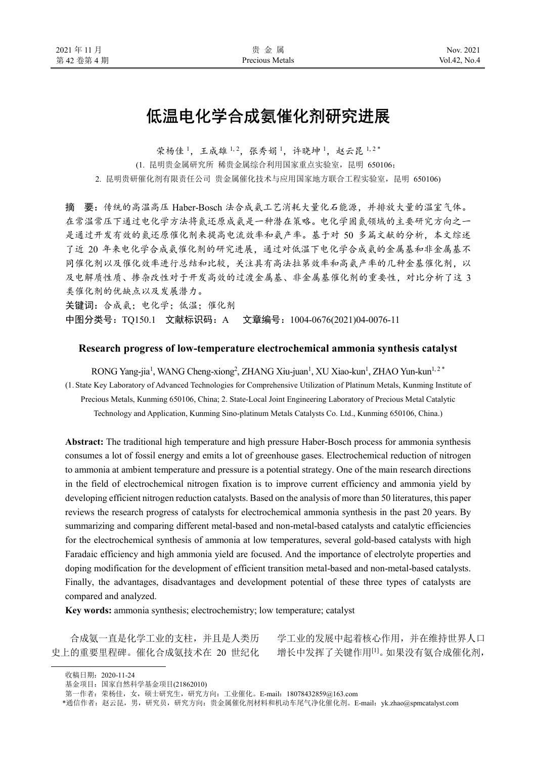# 低温电化学合成氨催化剂研究进展

荣杨佳1,王成雄1,2,张秀娟1,许晓坤1,赵云昆1,2\* (1. 昆明贵金属研究所 稀贵金属综合利用国家重点实验室,昆明 650106; 2. 昆明贵研催化剂有限责任公司 贵金属催化技术与应用国家地方联合工程实验室,昆明 650106)

摘 要:传统的高温高压 Haber-Bosch 法合成氨工艺消耗大量化石能源,并排放大量的温室气体。 在常温常压下通过电化学方法将氮还原成氨是一种潜在策略。电化学固氮领域的主要研究方向之一 是通过开发有效的氮还原催化剂来提高电流效率和氨产率。基于对 50 多篇文献的分析,本文综述 了近 20 年来电化学合成氨催化剂的研究进展,通过对低温下电化学合成氨的金属基和非金属基不 同催化剂以及催化效率进行总结和比较,关注具有高法拉第效率和高氨产率的几种金基催化剂,以 及电解质性质、掺杂改性对于开发高效的过渡金属基、非金属基催化剂的重要性,对比分析了这 3 类催化剂的优缺点以及发展潜力。

关键词:合成氨;电化学;低温;催化剂 中图分类号: TQ150.1 文献标识码: A 文章编号: 1004-0676(2021)04-0076-11

#### **Research progress of low-temperature electrochemical ammonia synthesis catalyst**

RONG Yang-jia<sup>1</sup>, WANG Cheng-xiong<sup>2</sup>, ZHANG Xiu-juan<sup>1</sup>, XU Xiao-kun<sup>1</sup>, ZHAO Yun-kun<sup>1, 2\*</sup> (1. State Key Laboratory of Advanced Technologies for Comprehensive Utilization of Platinum Metals, Kunming Institute of Precious Metals, Kunming 650106, China; 2. State-Local Joint Engineering Laboratory of Precious Metal Catalytic Technology and Application, Kunming Sino-platinum Metals Catalysts Co. Ltd., Kunming 650106, China.)

**Abstract:** The traditional high temperature and high pressure Haber-Bosch process for ammonia synthesis consumes a lot of fossil energy and emits a lot of greenhouse gases. Electrochemical reduction of nitrogen to ammonia at ambient temperature and pressure is a potential strategy. One of the main research directions in the field of electrochemical nitrogen fixation is to improve current efficiency and ammonia yield by developing efficient nitrogen reduction catalysts. Based on the analysis of more than 50 literatures, this paper reviews the research progress of catalysts for electrochemical ammonia synthesis in the past 20 years. By summarizing and comparing different metal-based and non-metal-based catalysts and catalytic efficiencies for the electrochemical synthesis of ammonia at low temperatures, several gold-based catalysts with high Faradaic efficiency and high ammonia yield are focused. And the importance of electrolyte properties and doping modification for the development of efficient transition metal-based and non-metal-based catalysts. Finally, the advantages, disadvantages and development potential of these three types of catalysts are compared and analyzed.

**Key words:** ammonia synthesis; electrochemistry; low temperature; catalyst

合成氨一直是化学工业的支柱,并且是人类历 史上的重要里程碑。催化合成氨技术在 20 世纪化

学工业的发展中起着核心作用,并在维持世界人口 增长中发挥了关键作用[1]。如果没有氨合成催化剂,

收稿日期:2020-11-24

基金项目:国家自然科学基金项目(21862010)

第一作者: 荣杨佳, 女, 硕士研究生, 研究方向: 工业催化。E-mail: 18078432859@163.com

<sup>\*</sup>通信作者: 赵云昆, 男, 研究员, 研究方向: 贵金属催化剂材料和机动车尾气净化催化剂。E-mail: yk.zhao@spmcatalyst.com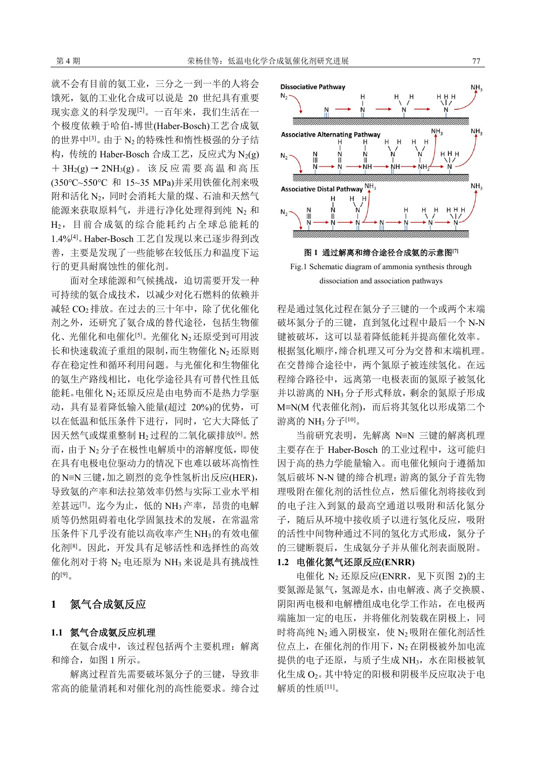就不会有目前的氨工业,三分之一到一半的人将会 饿死,氨的工业化合成可以说是 20 世纪具有重要 现实意义的科学发现[2]。一百年来,我们生活在一 个极度依赖于哈伯-博世(Haber-Bosch)工艺合成氨 的世界中<sup>[3]</sup>。由于 N<sub>2</sub>的特殊性和惰性极强的分子结 构,传统的 Haber-Bosch 合成工艺,反应式为 N<sub>2</sub>(g)  $+3H<sub>2</sub>(g) → 2NH<sub>3</sub>(g)$ 。该反应需要高温和高压 (350℃~550°C 和 15~35 MPa)并采用铁催化剂来吸 附和活化 N2, 同时会消耗大量的煤、石油和天然气 能源来获取原料气,并进行净化处理得到纯 N<sub>2</sub> 和 H2,目前合成氨的综合能耗约占全球总能耗的 1.4%[4]。Haber-Bosch 工艺自发现以来已逐步得到改 善,主要是发现了一些能够在较低压力和温度下运 行的更具耐腐蚀性的催化剂。

面对全球能源和气候挑战,迫切需要开发一种 可持续的氨合成技术,以减少对化石燃料的依赖并 减轻 CO<sub>2</sub> 排放。在过去的三十年中,除了优化催化 剂之外,还研究了氨合成的替代途径,包括生物催 化、光催化和电催化[5]。光催化 N2还原受到可用波 长和快速载流子重组的限制,而生物催化 N<sub>2</sub> 还原则 存在稳定性和循环利用问题。与光催化和生物催化 的氨生产路线相比,电化学途径具有可替代性且低 能耗。电催化 N2还原反应是由电势而不是热力学驱 动,具有显着降低输入能量(超过 20%)的优势,可 以在低温和低压条件下进行,同时,它大大降低了 因天然气或煤重整制 H<sub>2</sub> 过程的二氧化碳排放<sup>[6]</sup>。然 而,由于 N<sup>2</sup> 分子在极性电解质中的溶解度低,即使 在具有电极电位驱动力的情况下也难以破坏高惰性 的N≡N三键,加之剧烈的竞争性氢析出反应(HER), 导致氨的产率和法拉第效率仍然与实际工业水平相 差甚远<sup>[7]</sup>。迄今为止, 低的 NH<sub>3</sub> 产率, 昂贵的电解 质等仍然阻碍着电化学固氮技术的发展,在常温常 压条件下几乎没有能以高收率产生NH3的有效电催 化剂[8]。因此,开发具有足够活性和选择性的高效 催化剂对于将 N<sup>2</sup> 电还原为 NH<sup>3</sup> 来说是具有挑战性 的[9]。

# **1** 氮气合成氨反应

#### **1.1** 氮气合成氨反应机理

在氨合成中,该过程包括两个主要机理:解离 和缔合,如图 1 所示。

解离过程首先需要破坏氮分子的三键,导致非 常高的能量消耗和对催化剂的高性能要求。缔合过



Fig.1 Schematic diagram of ammonia synthesis through dissociation and association pathways

程是通过氢化过程在氮分子三键的一个或两个末端 破坏氮分子的三键,直到氢化过程中最后一个 N-N 键被破坏,这可以显着降低能耗并提高催化效率。 根据氢化顺序,缔合机理又可分为交替和末端机理。 在交替缔合途径中,两个氮原子被连续氢化。在远 程缔合路径中,远离第一电极表面的氮原子被氢化 并以游离的 NH3 分子形式释放, 剩余的氮原子形成 M≡N(M 代表催化剂), 而后将其氢化以形成第二个 游离的 NH3 分子<sup>[10]</sup>。

当前研究表明,先解离 N≡N 三键的解离机理 主要存在于 Haber-Bosch 的工业过程中, 这可能归 因于高的热力学能量输入。而电催化倾向于遵循加 氢后破坏 N-N 键的缔合机理:游离的氮分子首先物 理吸附在催化剂的活性位点,然后催化剂将接收到 的电子注入到氮的最高空通道以吸附和活化氮分 子,随后从环境中接收质子以进行氢化反应,吸附 的活性中间物种通过不同的氢化方式形成,氮分子 的三键断裂后,生成氨分子并从催化剂表面脱附。

## **1.2** 电催化氮气还原反应**(ENRR)**

电催化 N2 还原反应(ENRR, 见下页图 2)的主 要氮源是氮气,氢源是水,由电解液、离子交换膜、 阴阳两电极和电解槽组成电化学工作站,在电极两 端施加一定的电压,并将催化剂装载在阴极上,同 时将高纯 N<sub>2</sub> 通入阴极室, 使 N<sub>2</sub> 吸附在催化剂活性 位点上,在催化剂的作用下,N<sup>2</sup> 在阴极被外加电流 提供的电子还原,与质子生成 NH3,水在阳极被氧 化生成 O<sub>2</sub>。其中特定的阳极和阴极半反应取决于电 解质的性质[11]。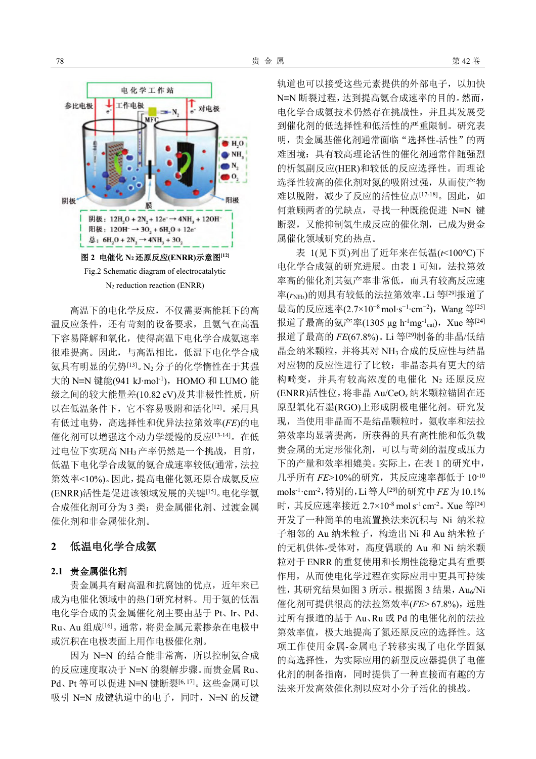

高温下的电化学反应,不仅需要高能耗下的高 温反应条件,还有苛刻的设备要求,且氨气在高温 下容易降解和氧化,使得高温下电化学合成氨速率 很难提高。因此,与高温相比,低温下电化学合成 氨具有明显的优势<sup>[13]</sup>。N<sub>2</sub>分子的化学惰性在于其强 大的 N≡N 键能(941 kJ·mol<sup>-1</sup>), HOMO 和 LUMO 能 级之间的较大能量差(10.82 eV)及其非极性性质,所 以在低温条件下,它不容易吸附和活化[12]。采用具 有低过电势,高选择性和优异法拉第效率(*FE*)的电 催化剂可以增强这个动力学缓慢的反应[13-14]。在低 过电位下实现高 NH3产率仍然是一个挑战,目前, 低温下电化学合成氨的氨合成速率较低(通常,法拉 第效率<10%)。因此,提高电催化氮还原合成氨反应 (ENRR)活性是促进该领域发展的关键[15]。电化学氨 合成催化剂可分为 3 类:贵金属催化剂、过渡金属 催化剂和非金属催化剂。

# **2** 低温电化学合成氨

#### **2.1** 贵金属催化剂

贵金属具有耐高温和抗腐蚀的优点,近年来已 成为电催化领域中的热门研究材料。用于氨的低温 电化学合成的贵金属催化剂主要由基于 Pt、Ir、Pd、 Ru、Au 组成[16]。通常,将贵金属元素掺杂在电极中 或沉积在电极表面上用作电极催化剂。

因为 N≡N 的结合能非常高,所以控制氨合成 的反应速度取决于 N≡N 的裂解步骤。而贵金属 Ru、 Pd、Pt 等可以促进 N≡N 键断裂<sup>[6, 17]</sup>。这些金属可以 吸引 N≡N 成键轨道中的电子, 同时, N≡N 的反键

轨道也可以接受这些元素提供的外部电子,以加快 N≡N 断裂过程,达到提高氨合成速率的目的。然而, 电化学合成氨技术仍然存在挑战性,并且其发展受 到催化剂的低选择性和低活性的严重限制。研究表 明,贵金属基催化剂通常面临"选择性-活性"的两 难困境:具有较高理论活性的催化剂通常伴随强烈 的析氢副反应(HER)和较低的反应选择性。而理论 选择性较高的催化剂对氮的吸附过强,从而使产物 难以脱附,减少了反应的活性位点[17-18]。因此,如 何兼顾两者的优缺点,寻找一种既能促进 N≡N 键 断裂,又能抑制氢生成反应的催化剂,已成为贵金 属催化领域研究的热点。

表 1(见下页)列出了近年来在低温(*t*<100℃)下 电化学合成氨的研究进展。由表 1 可知,法拉第效 率高的催化剂其氨产率非常低,而具有较高反应速 率( $r_{\text{NH}}$ )的则具有较低的法拉第效率。Li 等<sup>[29]</sup>报道了 最高的反应速率(2.7×10<sup>-8</sup> mol⋅s<sup>-1</sup>⋅cm<sup>-2</sup>), Wang 等<sup>[25]</sup> 报道了最高的氨产率(1305 μg h<sup>-1</sup>mg<sup>-1</sup>cat),Xue 等<sup>[24]</sup> 报道了最高的 *FE*(67.8%)。Li 等[29]制备的非晶/低结 晶金纳米颗粒,并将其对 NH<sup>3</sup> 合成的反应性与结晶 对应物的反应性进行了比较:非晶态具有更大的结 构畸变,并具有较高浓度的电催化 N<sub>2</sub> 还原反应 (ENRR)活性位,将非晶 Au/CeO*<sup>x</sup>* 纳米颗粒锚固在还 原型氧化石墨(RGO)上形成阴极电催化剂。研究发 现,当使用非晶而不是结晶颗粒时,氨收率和法拉 第效率均显著提高,所获得的具有高性能和低负载 贵金属的无定形催化剂,可以与苛刻的温度或压力 下的产量和效率相媲美。实际上,在表 1 的研究中, 几乎所有 *FE*>10%的研究,其反应速率都低于 10-10 mols-1·cm-2,特别的,Li等人[29]的研究中*FE*为10.1% 时,其反应速率接近 2.7×10-8 mol s-1 cm-2。Xue 等[24] 开发了一种简单的电流置换法来沉积与 Ni 纳米粒 子相邻的 Au 纳米粒子, 构造出 Ni 和 Au 纳米粒子 的无机供体-受体对,高度偶联的 Au 和 Ni 纳米颗 粒对于 ENRR 的重复使用和长期性能稳定具有重要 作用,从而使电化学过程在实际应用中更具可持续 性, 其研究结果如图 3 所示。根据图 3 结果, Au6/Ni 催化剂可提供很高的法拉第效率(FE> 67.8%),远胜 过所有报道的基于 Au、Ru 或 Pd 的电催化剂的法拉 第效率值,极大地提高了氮还原反应的选择性。这 项工作使用金属-金属电子转移实现了电化学固氮 的高选择性,为实际应用的新型反应器提供了电催 化剂的制备指南,同时提供了一种直接而有趣的方 法来开发高效催化剂以应对小分子活化的挑战。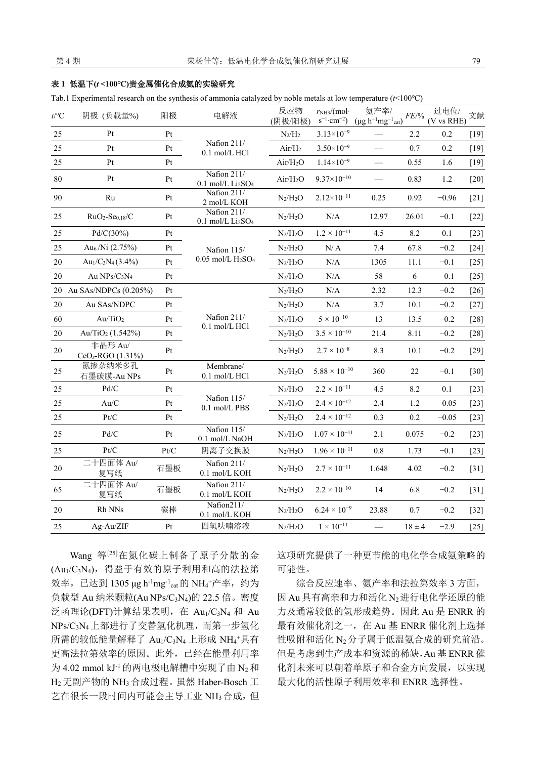### 表 **1** 低温下**(***t* **<100℃)**贵金属催化合成氨的实验研究

Tab.1 Experimental research on the synthesis of ammonia catalyzed by noble metals at low temperature (*t*<100℃)

| $t$ /°C | 阴极 (负载量%)                                             | 阳极   | 电解液                                                      | 反应物<br>(阴极/阳极)       | r <sub>NH3</sub> /(mol·)<br>$s^{-1}$ ·cm <sup>-2</sup> ) | 氨产率/<br>$(\mu g h^{-1}mg^{-1}_{cat})$ | $FE$ /%    | 过电位/<br>(V vs RHE) | 文献     |
|---------|-------------------------------------------------------|------|----------------------------------------------------------|----------------------|----------------------------------------------------------|---------------------------------------|------------|--------------------|--------|
| 25      | Pt                                                    | Pt   |                                                          | $N_2/H_2$            | $3.13 \times 10^{-9}$                                    |                                       | 2.2        | 0.2                | $[19]$ |
| 25      | Pt                                                    | Pt   | Nafion 211/<br>0.1 mol/L HCl                             | Air/H <sub>2</sub>   | $3.50\times10^{-9}$                                      |                                       | 0.7        | 0.2                | $[19]$ |
| 25      | Pt                                                    | Pt   |                                                          | Air/H <sub>2</sub> O | $1.14 \times 10^{-9}$                                    |                                       | 0.55       | 1.6                | $[19]$ |
| 80      | Pt                                                    | Pt   | Nafion 211/<br>0.1 mol/L Li <sub>2</sub> SO <sub>4</sub> | Air/H <sub>2</sub> O | $9.37\times10^{-10}$                                     | $\overline{\phantom{0}}$              | 0.83       | 1.2                | $[20]$ |
| 90      | Ru                                                    | Pt   | Nafion 211/<br>2 mol/L KOH                               | $N_2/H_2O$           | $2.12\times10^{-11}$                                     | 0.25                                  | 0.92       | $-0.96$            | $[21]$ |
| 25      | $RuO2-Se0.18/C$                                       | Pt   | Nafion 211/<br>0.1 mol/L Li <sub>2</sub> SO <sub>4</sub> | $N_2/H_2O$           | N/A                                                      | 12.97                                 | 26.01      | $-0.1$             | $[22]$ |
| 25      | Pd/C(30%)                                             | Pt   | Nafion 115/<br>$0.05$ mol/L $H2SO4$                      | $N_2/H_2O$           | $1.2 \times 10^{-11}$                                    | 4.5                                   | 8.2        | 0.1                | $[23]$ |
| 25      | Au <sub>6</sub> /N <sub>i</sub> $(2.75\%)$            | Pt   |                                                          | $N_2/H_2O$           | N/A                                                      | 7.4                                   | 67.8       | $-0.2$             | $[24]$ |
| 20      | Au <sub>1</sub> /C <sub>3</sub> N <sub>4</sub> (3.4%) | Pt   |                                                          | $N_2/H_2O$           | N/A                                                      | 1305                                  | 11.1       | $-0.1$             | $[25]$ |
| $20\,$  | Au $NPs/C_3N_4$                                       | Pt   |                                                          | $N_2/H_2O$           | $\rm N/A$                                                | 58                                    | 6          | $-0.1$             | $[25]$ |
| 20      | Au SAs/NDPCs (0.205%)                                 | Pt   | Nafion 211/<br>0.1 mol/L HCl                             | $N_2/H_2O$           | N/A                                                      | 2.32                                  | 12.3       | $-0.2$             | $[26]$ |
| 20      | Au SAs/NDPC                                           | Pt   |                                                          | $N_2/H_2O$           | N/A                                                      | 3.7                                   | 10.1       | $-0.2$             | $[27]$ |
| 60      | Au/TiO <sub>2</sub>                                   | Pt   |                                                          | $\rm N_2/H_2O$       | $5 \times 10^{-10}$                                      | 13                                    | 13.5       | $-0.2$             | $[28]$ |
| $20\,$  | Au/TiO <sub>2</sub> $(1.542\%)$                       | Pt   |                                                          | $N_2/H_2O$           | $3.5 \times 10^{-10}$                                    | 21.4                                  | 8.11       | $-0.2$             | $[28]$ |
| 20      | 非晶形 Au/<br>$CeOx$ -RGO (1.31%)                        | Pt   |                                                          | $N_2/H_2O$           | $2.7 \times 10^{-8}$                                     | 8.3                                   | 10.1       | $-0.2$             | $[29]$ |
| 25      | 氮掺杂纳米多孔<br>石墨碳膜-Au NPs                                | Pt   | Membrane/<br>0.1 mol/L HCl                               | $N_2/H_2O$           | $5.88 \times 10^{-10}$                                   | 360                                   | 22         | $-0.1$             | $[30]$ |
| 25      | $\mathrm{Pd}/\mathrm{C}$                              | Pt   |                                                          | $N_2/H_2O$           | $2.2 \times 10^{-11}$                                    | 4.5                                   | 8.2        | 0.1                | $[23]$ |
| 25      | Au/C                                                  | Pt   | Nafion 115/<br>0.1 mol/L PBS                             | $N_2/H_2O$           | $2.4 \times 10^{-12}$                                    | 2.4                                   | 1.2        | $-0.05$            | $[23]$ |
| 25      | Pt/C                                                  | Pt   |                                                          | $N_2/H_2O$           | $2.4 \times 10^{-12}$                                    | 0.3                                   | 0.2        | $-0.05$            | $[23]$ |
| 25      | Pd/C                                                  | Pt   | Nafion 115/<br>0.1 mol/L NaOH                            | $\rm N_2/H_2O$       | $1.07 \times 10^{-11}$                                   | 2.1                                   | 0.075      | $-0.2$             | $[23]$ |
| 25      | Pt/C                                                  | Pt/C | 阴离子交换膜                                                   | $N_2/H_2O$           | $1.96 \times 10^{-11}$                                   | 0.8                                   | 1.73       | $-0.1$             | $[23]$ |
| 20      | 二十四面体 Au/<br>复写纸                                      | 石墨板  | Nafion 211/<br>0.1 mol/L KOH                             | $N_2/H_2O$           | $2.7 \times 10^{-11}$                                    | 1.648                                 | 4.02       | $-0.2$             | $[31]$ |
| 65      | 二十四面体 Au/<br>复写纸                                      | 石墨板  | Nafion 211/<br>0.1 mol/L KOH                             | $N_2/H_2O$           | $2.2 \times 10^{-10}$                                    | 14                                    | 6.8        | $-0.2$             | $[31]$ |
| 20      | Rh NNs                                                | 碳棒   | Nafion211/<br>0.1 mol/L KOH                              | $N_2/H_2O$           | $6.24 \times 10^{-9}$                                    | 23.88                                 | 0.7        | $-0.2$             | $[32]$ |
| 25      | Ag-Au/ZIF                                             | Pt   | 四氢呋喃溶液                                                   | $N_2/H_2O$           | $1 \times 10^{-11}$                                      |                                       | $18 \pm 4$ | $-2.9$             | $[25]$ |

Wang 等<sup>[25]</sup>在氮化碳上制备了原子分散的金 (Au1/C3N4),得益于有效的原子利用和高的法拉第 效率,己达到 1305 μg h<sup>-1</sup>mg<sup>-1</sup>cat的 NH4<sup>+</sup>产率,约为 负载型 Au 纳米颗粒(Au NPs/C3N4)的 22.5 倍。密度 泛函理论(DFT)计算结果表明,在 Au1/C3N<sup>4</sup> 和 Au NPs/C3N4上都进行了交替氢化机理,而第一步氢化 所需的较低能量解释了  $Au_1/C_3N_4$ 上形成  $NH_4^+$ 具有 更高法拉第效率的原因。此外,已经在能量利用率 为 4.02 mmol  $kJ$ <sup>-1</sup> 的两电极电解槽中实现了由 N<sub>2</sub>和 H2无副产物的 NH3合成过程。虽然 Haber-Bosch 工 艺在很长一段时间内可能会主导工业 NH3合成, 但

这项研究提供了一种更节能的电化学合成氨策略的 可能性。

综合反应速率、氨产率和法拉第效率 3 方面, 因 Au 具有高亲和力和活化 N<sub>2</sub>进行电化学还原的能 力及通常较低的氢形成趋势。因此 Au 是 ENRR 的 最有效催化剂之一,在 Au 基 ENRR 催化剂上选择 性吸附和活化 N2分子属于低温氨合成的研究前沿。 但是考虑到生产成本和资源的稀缺,Au 基 ENRR 催 化剂未来可以朝着单原子和合金方向发展,以实现 最大化的活性原子利用效率和 ENRR 选择性。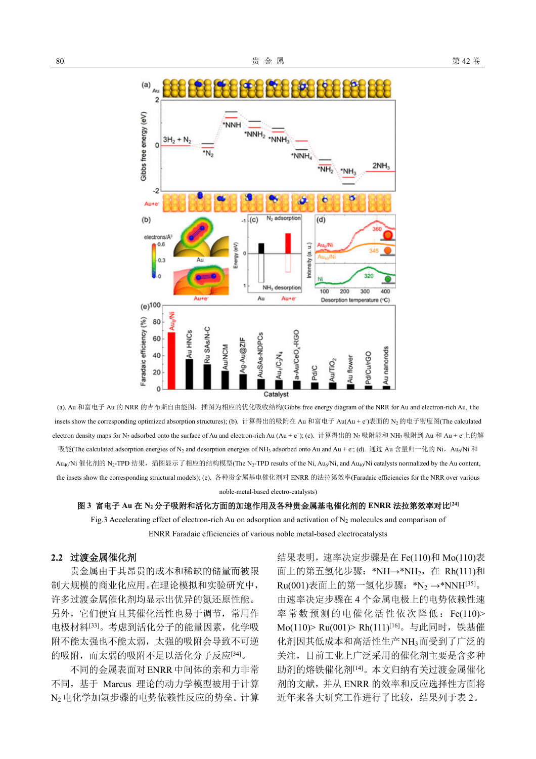

(a). Au 和富电子 Au 的 NRR 的吉布斯自由能图,插图为相应的优化吸收结构(Gibbs free energy diagram of the NRR for Au and electron-rich Au, the insets show the corresponding optimized absorption structures); (b). 计算得出的吸附在 Au 和富电子 Au(Au + e`)表面的 N2 的电子密度图(The calculated electron density maps for N<sub>2</sub> adsorbed onto the surface of Au and electron-rich Au (Au + e−); (c). 计算得出的 N<sub>2</sub>吸附能和 NH3吸附到 Au 和 Au + e<sup>-</sup>上的解 吸能(The calculated adsorption energies of N2 and desorption energies of NH3 adsorbed onto Au and Au + e^; (d). 通过 Au 含量归一化的 Ni,Au<sub>6</sub>/Ni 和 Au<sub>40</sub>/Ni 催化剂的 N<sub>2</sub>-TPD 结果, 插图显示了相应的结构模型(The N<sub>2</sub>-TPD results of the Ni, Au<sub>6</sub>/Ni, and Au<sub>40</sub>/Ni catalysts normalized by the Au content, the insets show the corresponding structural models); (e). 各种贵金属基电催化剂对 ENRR 的法拉第效率(Faradaic efficiencies for the NRR over various noble-metal-based electro-catalysts)

图 **3** 富电子 **Au** 在 **N<sup>2</sup>** 分子吸附和活化方面的加速作用及各种贵金属基电催化剂的 **ENRR** 法拉第效率对比**[24]** 

Fig.3 Accelerating effect of electron-rich Au on adsorption and activation of N<sub>2</sub> molecules and comparison of ENRR Faradaic efficiencies of various noble metal-based electrocatalysts

# **2.2** 过渡金属催化剂

贵金属由于其昂贵的成本和稀缺的储量而被限 制大规模的商业化应用。在理论模拟和实验研究中, 许多过渡金属催化剂均显示出优异的氮还原性能。 另外,它们便宜且其催化活性也易于调节,常用作 电极材料[33]。考虑到活化分子的能量因素,化学吸 附不能太强也不能太弱,太强的吸附会导致不可逆 的吸附,而太弱的吸附不足以活化分子反应[34]。

不同的金属表面对ENRR中间体的亲和力非常 不同,基于 Marcus 理论的动力学模型被用于计算 N<sub>2</sub>电化学加氢步骤的电势依赖性反应的势垒。计算

结果表明,速率决定步骤是在 Fe(110)和 Mo(110)表 面上的第五氢化步骤:\*NH→\*NH2,在 Rh(111)和 Ru(001)表面上的第一氢化步骤: \*N<sub>2</sub> →\*NNH<sup>[35]</sup>。 由速率决定步骤在 4 个金属电极上的电势依赖性速 率常数预测的电催化活性依次降低:Fe(110)> Mo(110)> Ru(001)> Rh(111)[16]。与此同时,铁基催 化剂因其低成本和高活性生产NH3而受到了广泛的 关注,目前工业上广泛采用的催化剂主要是含多种 助剂的熔铁催化剂[14]。本文归纳有关过渡金属催化 剂的文献,并从 ENRR 的效率和反应选择性方面将 近年来各大研究工作进行了比较,结果列于表 2。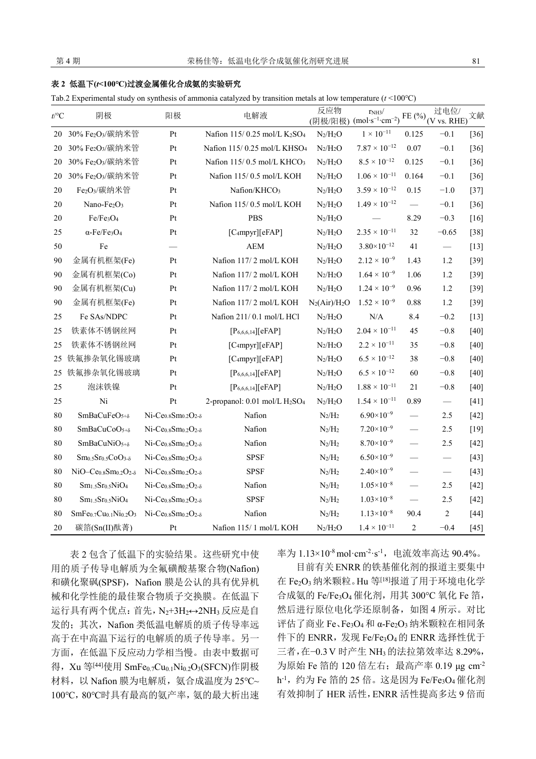## 表 **2** 低温下**(***t***<100℃)**过渡金属催化合成氨的实验研究

Tab.2 Experimental study on synthesis of ammonia catalyzed by transition metals at low temperature (*t* <100℃)

| $t$ /°C | 阴极                                                                     | 阳极                                                      | 电解液                                                   | 反应物             | $rNH3$ /<br>(阴极/阳极) (mol·s <sup>-1</sup> ·cm <sup>-2</sup> ) |                          | 过电位/<br>FE $\left(\frac{\%}{\%}\right)$ (V vs. RHE) | 文献     |
|---------|------------------------------------------------------------------------|---------------------------------------------------------|-------------------------------------------------------|-----------------|--------------------------------------------------------------|--------------------------|-----------------------------------------------------|--------|
| 20      | 30% Fe2O3/碳纳米管                                                         | Pt                                                      | Nafion 115/0.25 mol/L K <sub>2</sub> SO <sub>4</sub>  | $N_2/H_2O$      | $1 \times 10^{-11}$                                          | 0.125                    | $-0.1$                                              | $[36]$ |
| 20      | 30% Fe2O3/碳纳米管                                                         | Pt                                                      | Nafion 115/0.25 mol/L KHSO <sub>4</sub>               | $N_2/H_2O$      | $7.87 \times 10^{-12}$                                       | 0.07                     | $-0.1$                                              | $[36]$ |
| 20      | 30% Fe2O3/碳纳米管                                                         | Pt                                                      | Nafion 115/0.5 mol/L KHCO <sub>3</sub>                | $N_2/H_2O$      | $8.5 \times 10^{-12}$                                        | 0.125                    | $-0.1$                                              | $[36]$ |
| 20      | 30% Fe2O3/碳纳米管                                                         | Pt                                                      | Nafion 115/0.5 mol/L KOH                              | $N_2/H_2O$      | $1.06 \times 10^{-11}$                                       | 0.164                    | $-0.1$                                              | $[36]$ |
| 20      | Fe2O3/碳纳米管                                                             | Pt                                                      | Nafion/KHCO <sub>3</sub>                              | $N_2/H_2O$      | $3.59 \times 10^{-12}$                                       | 0.15                     | $-1.0$                                              | $[37]$ |
| 20      | Nano-Fe2O3                                                             | Pt                                                      | Nafion 115/0.5 mol/L KOH                              | $N_2/H_2O$      | $1.49 \times 10^{-12}$                                       | $\equiv$                 | $-0.1$                                              | $[36]$ |
| 20      | Fe/Fe <sub>3</sub> O <sub>4</sub>                                      | Pt                                                      | PBS                                                   | $N_2/H_2O$      |                                                              | 8.29                     | $-0.3$                                              | $[16]$ |
| 25      | $\alpha$ -Fe/Fe3O <sub>4</sub>                                         | Pt                                                      | [C <sub>4</sub> mpyr][eFAP]                           | $N_2/H_2O$      | $2.35 \times 10^{-11}$                                       | 32                       | $-0.65$                                             | $[38]$ |
| 50      | Fe                                                                     |                                                         | <b>AEM</b>                                            | $N_2/H_2O$      | $3.80\times10^{-12}$                                         | 41                       | $\qquad \qquad$                                     | $[13]$ |
| 90      | 金属有机框架(Fe)                                                             | Pt                                                      | Nafion 117/2 mol/L KOH                                | $N_2/H_2O$      | $2.12 \times 10^{-9}$                                        | 1.43                     | 1.2                                                 | $[39]$ |
| 90      | 金属有机框架(Co)                                                             | Pt                                                      | Nafion 117/2 mol/L KOH                                | $N_2/H_2O$      | $1.64 \times 10^{-9}$                                        | 1.06                     | 1.2                                                 | $[39]$ |
| 90      | 金属有机框架(Cu)                                                             | Pt                                                      | Nafion 117/2 mol/L KOH                                | $N_2/H_2O$      | $1.24 \times 10^{-9}$                                        | 0.96                     | 1.2                                                 | $[39]$ |
| 90      | 金属有机框架(Fe)                                                             | Pt                                                      | Nafion 117/2 mol/L KOH                                | $N_2(Air)/H_2O$ | $1.52 \times 10^{-9}$                                        | 0.88                     | 1.2                                                 | $[39]$ |
| 25      | Fe SAs/NDPC                                                            | Pt                                                      | Nafion 211/0.1 mol/LHCl                               | $N_2/H_2O$      | $\rm N/A$                                                    | 8.4                      | $-0.2$                                              | $[13]$ |
| 25      | 铁素体不锈钢丝网                                                               | Pt                                                      | $[P_{6,6,6,14}][eFAP]$                                | $N_2/H_2O$      | $2.04 \times 10^{-11}$                                       | 45                       | $-0.8$                                              | $[40]$ |
| 25      | 铁素体不锈钢丝网                                                               | Pt                                                      | [C <sub>4</sub> mpyr][eFAP]                           | $N_2/H_2O$      | $2.2 \times 10^{-11}$                                        | 35                       | $-0.8$                                              | $[40]$ |
| 25      | 铁氟掺杂氧化锡玻璃                                                              | Pt                                                      | [C <sub>4</sub> mpyr][eFAP]                           | $N_2/H_2O$      | $6.5 \times 10^{-12}$                                        | 38                       | $-0.8$                                              | $[40]$ |
| 25      | 铁氟掺杂氧化锡玻璃                                                              | Pt                                                      | $[P_{6,6,6,14}][eFAP]$                                | $N_2/H_2O$      | $6.5 \times 10^{-12}$                                        | 60                       | $-0.8$                                              | $[40]$ |
| 25      | 泡沫铁镍                                                                   | Pt                                                      | $[P_{6,6,6,14}][eFAP]$                                | $N_2/H_2O$      | $1.88 \times 10^{-11}$                                       | 21                       | $-0.8$                                              | $[40]$ |
| 25      | Ni                                                                     | Pt                                                      | 2-propanol: 0.01 mol/L H <sub>2</sub> SO <sub>4</sub> | $N_2/H_2O$      | $1.54 \times 10^{-11}$                                       | 0.89                     | $\qquad \qquad \longleftarrow$                      | $[41]$ |
| 80      | SmBaCuFeO <sub>5+8</sub>                                               | Ni-Ce <sub>0.8</sub> Sm <sub>0.2</sub> O <sub>2-δ</sub> | Nafion                                                | $N_2/H_2$       | $6.90\times10^{-9}$                                          | $\qquad \qquad$          | 2.5                                                 | $[42]$ |
| 80      | SmBaCuCoO <sub>5+8</sub>                                               | $Ni-Ce_{0.8}Sm0.2O2-δ$                                  | Nafion                                                | $N_2/H_2$       | $7.20\times10^{-9}$                                          | $\overline{\phantom{0}}$ | 2.5                                                 | $[19]$ |
| 80      | SmBaCuNiO <sub>5+8</sub>                                               | $Ni-Ce0.8Sm0.2O2-δ$                                     | Nafion                                                | $N_2/H_2$       | $8.70\times10^{-9}$                                          |                          | 2.5                                                 | $[42]$ |
| 80      | $Sm_{0.5}Sr_{0.5}CoO_{3-\delta}$                                       | Ni-Ce <sub>0.8</sub> Sm <sub>0.2</sub> O <sub>2-δ</sub> | <b>SPSF</b>                                           | $N_2/H_2$       | $6.50\times10^{-9}$                                          |                          | $\qquad \qquad$                                     | $[43]$ |
| 80      | $NiO-Ce_{0.8}Sm0.2O2-\delta$                                           | $Ni-Ce_{0.8}Sm0.2O2-δ$                                  | <b>SPSF</b>                                           | $\rm N_2/H_2$   | $2.40\times10^{-9}$                                          |                          |                                                     | $[43]$ |
| 80      | $Sm$ <sub>1.5</sub> $Sr$ <sub>0.5</sub> $NiO4$                         | Ni-Ce <sub>0.8</sub> Sm <sub>0.2</sub> O <sub>2-δ</sub> | Nafion                                                | $N_2/H_2$       | $1.05 \times 10^{-8}$                                        | $\qquad \qquad$          | 2.5                                                 | $[42]$ |
| 80      | $Sm1.5Sr0.5NiO4$                                                       | Ni-Ce <sub>0.8</sub> Sm <sub>0.2</sub> O <sub>2-δ</sub> | <b>SPSF</b>                                           | $N_2/H_2$       | $1.03\times10^{-8}$                                          | $\equiv$                 | 2.5                                                 | $[42]$ |
| 80      | SmFe <sub>0.7</sub> Cu <sub>0.1</sub> Ni <sub>0.2</sub> O <sub>3</sub> | $Ni-Ce_{0.8}Sm0.2O2-δ$                                  | Nafion                                                | $N_2/H_2$       | $1.13\times10^{-8}$                                          | 90.4                     | $\mathfrak{2}$                                      | $[44]$ |
| 20      | 碳箔(Sn(II)酞菁)                                                           | Pt                                                      | Nafion 115/1 mol/L KOH                                | $N_2/H_2O$      | $1.4 \times 10^{-11}$                                        | $\overline{2}$           | $-0.4$                                              | $[45]$ |

表 2 包含了低温下的实验结果。这些研究中使 用的质子传导电解质为全氟磺酸基聚合物(Nafion) 和磺化聚砜(SPSF), Nafion 膜是公认的具有优异机 械和化学性能的最佳聚合物质子交换膜。在低温下 运行具有两个优点:首先,N2+3H2↔2NH<sup>3</sup> 反应是自 发的;其次,Nafion 类低温电解质的质子传导率远 高于在中高温下运行的电解质的质子传导率。另一 方面,在低温下反应动力学相当慢。由表中数据可 得, Xu 等<sup>[44]</sup>使用 SmFe<sub>0.7</sub>Cu<sub>0.1</sub>Ni<sub>0.2</sub>O<sub>3</sub>(SFCN)作阴极 材料, 以 Nafion 膜为电解质, 氨合成温度为 25℃~ 100℃,80℃时具有最高的氨产率,氨的最大析出速

率为 1.13×10-8 mol·cm-2·s-1,电流效率高达 90.4%。

目前有关ENRR的铁基催化剂的报道主要集中 在 Fe<sub>2</sub>O3 纳米颗粒。Hu 等<sup>[18]</sup>报道了用于环境电化学 合成氨的 Fe/Fe3O<sup>4</sup> 催化剂,用其 300°C 氧化 Fe 箔, 然后进行原位电化学还原制备,如图 4 所示。对比 评估了商业 Fe、Fe3O<sup>4</sup> 和 α-Fe2O<sup>3</sup> 纳米颗粒在相同条 件下的 ENRR,发现 Fe/Fe3O4的 ENRR 选择性优于 三者,在−0.3 V 时产生 NH3的法拉第效率达 8.29%, 为原始 Fe 箔的 120 倍左右; 最高产率 0.19 μg cm<sup>-2</sup> h-1, 约为 Fe 箔的 25 倍。这是因为 Fe/Fe3O4 催化剂 有效抑制了 HER 活性,ENRR 活性提高多达 9 倍而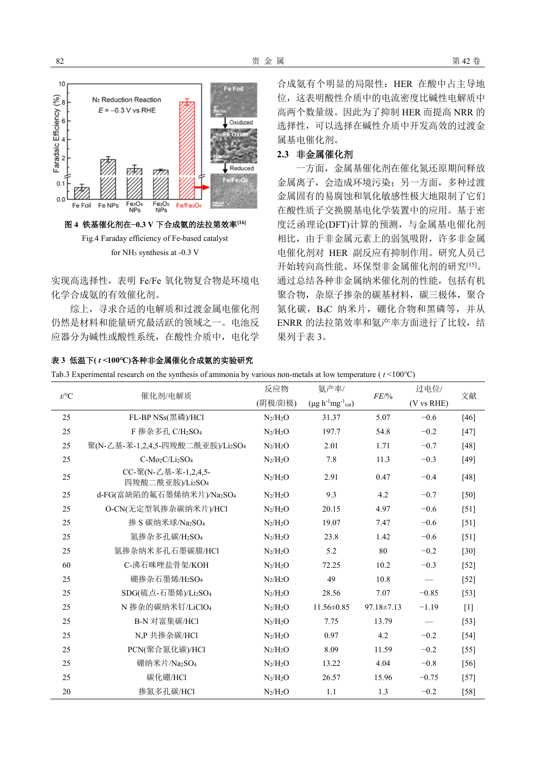



实现高选择性,表明 Fe/Fe 氧化物复合物是环境电 化学合成氨的有效催化剂。

综上,寻求合适的电解质和过渡金属电催化剂 仍然是材料和能量研究最活跃的领域之一。电池反 应器分为碱性或酸性系统,在酸性介质中,电化学

## 表 **3** 低温下**(** *t* **<100℃)**各种非金属催化合成氨的实验研究

合成氨有个明显的局限性:HER 在酸中占主导地 位,这表明酸性介质中的电流密度比碱性电解质中 高两个数量级。因此为了抑制 HER 而提高 NRR 的 选择性,可以选择在碱性介质中开发高效的过渡金 属基电催化剂。

### **2.3** 非金属催化剂

一方面,金属基催化剂在催化氮还原期间释放 金属离子,会造成环境污染;另一方面,多种过渡 金属固有的易腐蚀和氧化敏感性极大地限制了它们 在酸性质子交换膜基电化学装置中的应用。基于密 度泛函理论(DFT)计算的预测,与金属基电催化剂 相比,由于非金属元素上的弱氢吸附,许多非金属 电催化剂对 HER 副反应有抑制作用。研究人员已 开始转向高性能、环保型非金属催化剂的研究[15]。 通过总结各种非金属纳米催化剂的性能,包括有机 聚合物,杂原子掺杂的碳基材料,碳三极体,聚合 氮化碳, B4C 纳米片, 硼化合物和黑磷等, 并从 ENRR 的法拉第效率和氨产率方面进行了比较,结 果列于表 3。

Tab.3 Experimental research on the synthesis of ammonia by various non-metals at low temperature ( *t* <100℃)

| $t$ /°C | 催化剂/电解质                                 | 反应物        | 氨产率/                        |            | 过电位/                     | 文献     |  |
|---------|-----------------------------------------|------------|-----------------------------|------------|--------------------------|--------|--|
|         |                                         | (阴极/阳极)    | $(\mu g h^{-1}mg^{-1}$ cat) | $FE$ %     | (V vs RHE)               |        |  |
| 25      | FL-BP NSs(黑磷)/HCl                       | $N_2/H_2O$ | 31.37                       | 5.07       | $-0.6$                   | $[46]$ |  |
| 25      | F 掺杂多孔 C/H <sub>2</sub> SO <sub>4</sub> | $N_2/H_2O$ | 197.7                       | 54.8       | $-0.2$                   | $[47]$ |  |
| 25      | 聚(N-乙基-苯-1,2,4,5-四羧酸二酰亚胺)/Li2SO4        | $N_2/H_2O$ | 2.01                        | 1.71       | $-0.7$                   | [48]   |  |
| 25      | $C-Mo2C/Li2SO4$                         | $N_2/H_2O$ | 7.8                         | 11.3       | $-0.3$                   |        |  |
| 25      | CC-聚(N-乙基-苯-1,2,4,5-<br>四羧酸二酰亚胺)/Li2SO4 | $N_2/H_2O$ | 2.91                        | 0.47       | $-0.4$                   | $[48]$ |  |
| 25      | d-FG(富缺陷的氟石墨烯纳米片)/Na2SO4                | $N_2/H_2O$ | 9.3                         | 4.2        | $-0.7$                   | $[50]$ |  |
| 25      | O-CN(无定型氧掺杂碳纳米片)/HCl                    | $N_2/H_2O$ | 20.15                       | 4.97       | $-0.6$                   | $[51]$ |  |
| 25      | 掺 S 碳纳米球/Na2SO4                         | $N_2/H_2O$ | 19.07                       | 7.47       | $-0.6$                   | $[51]$ |  |
| 25      | 氮掺杂多孔碳/H2SO4                            | $N_2/H_2O$ | 23.8                        | 1.42       | $-0.6$                   | $[51]$ |  |
| 25      | 氮掺杂纳米多孔石墨碳膜/HCl                         | $N_2/H_2O$ | 5.2                         | 80         | $-0.2$                   | $[30]$ |  |
| 60      | C-沸石咪唑盐骨架/KOH                           | $N_2/H_2O$ | 72.25                       | 10.2       | $-0.3$                   | $[52]$ |  |
| 25      | 硼掺杂石墨烯/H2SO4                            | $N_2/H_2O$ | 49                          | 10.8       | $\overline{\phantom{m}}$ | $[52]$ |  |
| 25      | SDG(硫点-石墨烯)/Li2SO4                      | $N_2/H_2O$ | 28.56                       | 7.07       | $-0.85$                  | $[53]$ |  |
| 25      | N 掺杂的碳纳米钉/LiClO4                        | $N_2/H_2O$ | $11.56 \pm 0.85$            | 97.18±7.13 | $-1.19$                  | $[1]$  |  |
| 25      | B-N 对富集碳/HCl                            | $N_2/H_2O$ | 7.75                        | 13.79      |                          | $[53]$ |  |
| 25      | N,P 共掺杂碳/HCl                            | $N_2/H_2O$ | 0.97                        | 4.2        | $-0.2$                   | [54]   |  |
| 25      | PCN(聚合氮化碳)/HCl                          | $N_2/H_2O$ | 8.09                        | 11.59      | $-0.2$                   | $[55]$ |  |
| 25      | 硼纳米片/Na2SO4                             | $N_2/H_2O$ | 13.22                       | 4.04       | $-0.8$                   | $[56]$ |  |
| 25      | 碳化硼/HCl                                 | $N_2/H_2O$ | 26.57                       | 15.96      | $-0.75$                  | $[57]$ |  |
| 20      | 掺氮多孔碳/HCl                               | $N_2/H_2O$ | 1.1                         | 1.3        | $-0.2$                   | $[58]$ |  |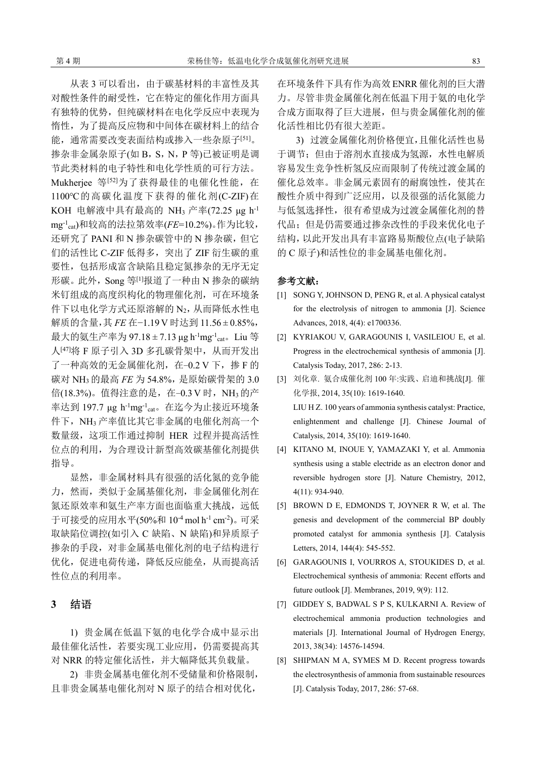从表 3 可以看出,由于碳基材料的丰富性及其 对酸性条件的耐受性,它在特定的催化作用方面具 有独特的优势,但纯碳材料在电化学反应中表现为 惰性,为了提高反应物和中间体在碳材料上的结合 能,通常需要改变表面结构或掺入一些杂原子[51]。 掺杂非金属杂原子(如 B,S,N,P 等)已被证明是调 节此类材料的电子特性和电化学性质的可行方法。 Mukherjee 等<sup>[52]</sup>为了获得最佳的电催化性能, 在 1100℃的高碳化温度下获得的催化剂(C-ZIF)在 KOH 电解液中具有最高的 NH<sup>3</sup> 产率(72.25 μg h-1 mg-1 cat)和较高的法拉第效率(*FE*=10.2%)。作为比较, 还研究了 PANI 和 N 掺杂碳管中的 N 掺杂碳, 但它 们的活性比 C-ZIF 低得多,突出了 ZIF 衍生碳的重 要性,包括形成富含缺陷且稳定氮掺杂的无序无定 形碳。此外,Song 等[1]报道了一种由 N 掺杂的碳纳 米钉组成的高度织构化的物理催化剂,可在环境条 件下以电化学方式还原溶解的 N2, 从而降低水性电 解质的含量,其 *FE* 在−1.19 V 时达到 11.56 ± 0.85%, 最大的氨生产率为 97.18±7.13 μg h<sup>-1</sup>mg<sup>-1</sup>cat。Liu 等 人<sup>[47]</sup>将 F 原子引入 3D 多孔碳骨架中, 从而开发出 了一种高效的无金属催化剂,在−0.2 V 下,掺 F 的 碳对 NH<sub>3</sub> 的最高 FE 为 54.8%, 是原始碳骨架的 3.0 倍(18.3%)。值得注意的是,在−0.3 V 时,NH3的产 率达到 197.7 μg h<sup>-1</sup>mg<sup>-1</sup>cat。在迄今为止接近环境条 件下, NH3 产率值比其它非金属的电催化剂高一个 数量级,这项工作通过抑制 HER 过程并提高活性 位点的利用,为合理设计新型高效碳基催化剂提供 指导。

显然,非金属材料具有很强的活化氮的竞争能 力,然而,类似于金属基催化剂,非金属催化剂在 氮还原效率和氨生产率方面也面临重大挑战,远低 于可接受的应用水平(50%和 10-4 mol h-1 cm-2)。可采 取缺陷位调控(如引入 C 缺陷、N 缺陷)和异质原子 掺杂的手段,对非金属基电催化剂的电子结构进行 优化,促进电荷传递,降低反应能垒,从而提高活 性位点的利用率。

# **3** 结语

1) 贵金属在低温下氨的电化学合成中显示出 最佳催化活性,若要实现工业应用,仍需要提高其 对 NRR 的特定催化活性,并大幅降低其负载量。

2) 非贵金属基电催化剂不受储量和价格限制, 且非贵金属基电催化剂对 N 原子的结合相对优化,

在环境条件下具有作为高效 ENRR 催化剂的巨大潜 力。尽管非贵金属催化剂在低温下用于氨的电化学 合成方面取得了巨大进展,但与贵金属催化剂的催 化活性相比仍有很大差距。

3) 过渡金属催化剂价格便宜,且催化活性也易 于调节;但由于溶剂水直接成为氢源,水性电解质 容易发生竞争性析氢反应而限制了传统过渡金属的 催化总效率。非金属元素固有的耐腐蚀性,使其在 酸性介质中得到广泛应用,以及很强的活化氮能力 与低氢选择性,很有希望成为过渡金属催化剂的替 代品;但是仍需要通过掺杂改性的手段来优化电子 结构,以此开发出具有丰富路易斯酸位点(电子缺陷 的 C 原子)和活性位的非金属基电催化剂。

## 参考文献:

- [1] SONG Y, JOHNSON D, PENG R, et al. A physical catalyst for the electrolysis of nitrogen to ammonia [J]. Science Advances, 2018, 4(4): e1700336.
- [2] KYRIAKOU V, GARAGOUNIS I, VASILEIOU E, et al. Progress in the electrochemical synthesis of ammonia [J]. Catalysis Today, 2017, 286: 2-13.
- [3] 刘化章. 氨合成催化剂 100 年:实践、启迪和挑战[J]. 催 化学报, 2014, 35(10): 1619-1640.

LIU H Z. 100 years of ammonia synthesis catalyst: Practice, enlightenment and challenge [J]. Chinese Journal of Catalysis, 2014, 35(10): 1619-1640.

- [4] KITANO M, INOUE Y, YAMAZAKI Y, et al. Ammonia synthesis using a stable electride as an electron donor and reversible hydrogen store [J]. Nature Chemistry, 2012, 4(11): 934-940.
- [5] BROWN D E, EDMONDS T, JOYNER R W, et al. The genesis and development of the commercial BP doubly promoted catalyst for ammonia synthesis [J]. Catalysis Letters, 2014, 144(4): 545-552.
- [6] GARAGOUNIS I, VOURROS A, STOUKIDES D, et al. Electrochemical synthesis of ammonia: Recent efforts and future outlook [J]. Membranes, 2019, 9(9): 112.
- [7] GIDDEY S, BADWAL S P S, KULKARNI A. Review of electrochemical ammonia production technologies and materials [J]. International Journal of Hydrogen Energy, 2013, 38(34): 14576-14594.
- [8] SHIPMAN M A, SYMES M D. Recent progress towards the electrosynthesis of ammonia from sustainable resources [J]. Catalysis Today, 2017, 286: 57-68.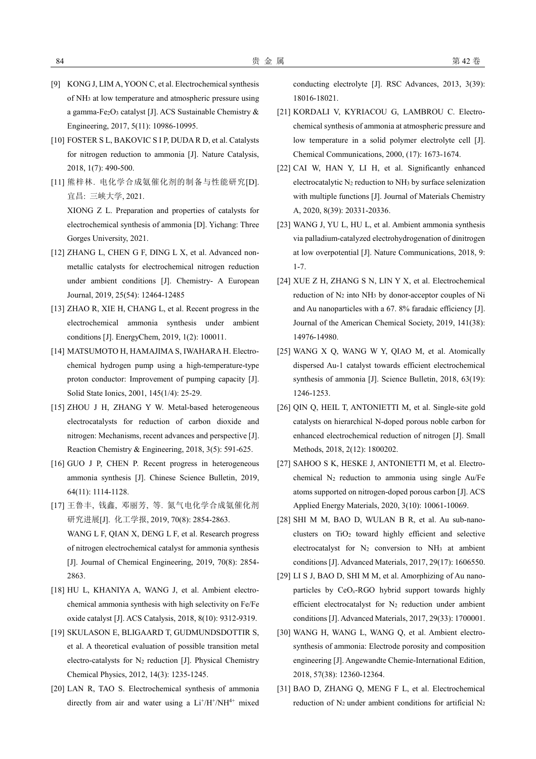- [9] KONG J, LIM A, YOON C, et al. Electrochemical synthesis of NH3 at low temperature and atmospheric pressure using a gamma-Fe2O3 catalyst [J]. ACS Sustainable Chemistry & Engineering, 2017, 5(11): 10986-10995.
- [10] FOSTER S L, BAKOVIC S I P, DUDA R D, et al. Catalysts for nitrogen reduction to ammonia [J]. Nature Catalysis, 2018, 1(7): 490-500.
- [11] 熊梓林. 电化学合成氨催化剂的制备与性能研究[D]. 宜昌: 三峡大学, 2021. XIONG Z L. Preparation and properties of catalysts for electrochemical synthesis of ammonia [D]. Yichang: Three Gorges University, 2021.
- [12] ZHANG L, CHEN G F, DING L X, et al. Advanced nonmetallic catalysts for electrochemical nitrogen reduction under ambient conditions [J]. Chemistry- A European Journal, 2019, 25(54): 12464-12485
- [13] ZHAO R, XIE H, CHANG L, et al. Recent progress in the electrochemical ammonia synthesis under ambient conditions [J]. EnergyChem, 2019, 1(2): 100011.
- [14] MATSUMOTO H, HAMAJIMA S, IWAHARA H. Electrochemical hydrogen pump using a high-temperature-type proton conductor: Improvement of pumping capacity [J]. Solid State Ionics, 2001, 145(1/4): 25-29.
- [15] ZHOU J H, ZHANG Y W. Metal-based heterogeneous electrocatalysts for reduction of carbon dioxide and nitrogen: Mechanisms, recent advances and perspective [J]. Reaction Chemistry & Engineering, 2018, 3(5): 591-625.
- [16] GUO J P, CHEN P. Recent progress in heterogeneous ammonia synthesis [J]. Chinese Science Bulletin, 2019, 64(11): 1114-1128.
- [17] 王鲁丰, 钱鑫, 邓丽芳, 等. 氮气电化学合成氨催化剂 研究进展[J]. 化工学报, 2019, 70(8): 2854-2863. WANG L F, QIAN X, DENG L F, et al. Research progress of nitrogen electrochemical catalyst for ammonia synthesis [J]. Journal of Chemical Engineering, 2019, 70(8): 2854- 2863.
- [18] HU L, KHANIYA A, WANG J, et al. Ambient electrochemical ammonia synthesis with high selectivity on Fe/Fe oxide catalyst [J]. ACS Catalysis, 2018, 8(10): 9312-9319.
- [19] SKULASON E, BLIGAARD T, GUDMUNDSDOTTIR S, et al. A theoretical evaluation of possible transition metal electro-catalysts for  $N_2$  reduction [J]. Physical Chemistry Chemical Physics, 2012, 14(3): 1235-1245.
- [20] LAN R, TAO S. Electrochemical synthesis of ammonia directly from air and water using a Li<sup>+</sup>/H<sup>+</sup>/NH<sup>4+</sup> mixed

conducting electrolyte [J]. RSC Advances, 2013, 3(39): 18016-18021.

- [21] KORDALI V, KYRIACOU G, LAMBROU C. Electrochemical synthesis of ammonia at atmospheric pressure and low temperature in a solid polymer electrolyte cell [J]. Chemical Communications, 2000, (17): 1673-1674.
- [22] CAI W, HAN Y, LI H, et al. Significantly enhanced electrocatalytic N2 reduction to NH3 by surface selenization with multiple functions [J]. Journal of Materials Chemistry A, 2020, 8(39): 20331-20336.
- [23] WANG J, YU L, HU L, et al. Ambient ammonia synthesis via palladium-catalyzed electrohydrogenation of dinitrogen at low overpotential [J]. Nature Communications, 2018, 9: 1-7.
- [24] XUE Z H, ZHANG S N, LIN Y X, et al. Electrochemical reduction of N2 into NH3 by donor-acceptor couples of Ni and Au nanoparticles with a 67. 8% faradaic efficiency [J]. Journal of the American Chemical Society, 2019, 141(38): 14976-14980.
- [25] WANG X Q, WANG W Y, QIAO M, et al. Atomically dispersed Au-1 catalyst towards efficient electrochemical synthesis of ammonia [J]. Science Bulletin, 2018, 63(19): 1246-1253.
- [26] QIN Q, HEIL T, ANTONIETTI M, et al. Single-site gold catalysts on hierarchical N-doped porous noble carbon for enhanced electrochemical reduction of nitrogen [J]. Small Methods, 2018, 2(12): 1800202.
- [27] SAHOO S K, HESKE J, ANTONIETTI M, et al. Electrochemical N2 reduction to ammonia using single Au/Fe atoms supported on nitrogen-doped porous carbon [J]. ACS Applied Energy Materials, 2020, 3(10): 10061-10069.
- [28] SHI M M, BAO D, WULAN B R, et al. Au sub-nanoclusters on TiO2 toward highly efficient and selective electrocatalyst for  $N_2$  conversion to  $NH_3$  at ambient conditions [J]. Advanced Materials, 2017, 29(17): 1606550.
- [29] LI S J, BAO D, SHI M M, et al. Amorphizing of Au nanoparticles by CeO*x*-RGO hybrid support towards highly efficient electrocatalyst for N<sub>2</sub> reduction under ambient conditions [J]. Advanced Materials, 2017, 29(33): 1700001.
- [30] WANG H, WANG L, WANG Q, et al. Ambient electrosynthesis of ammonia: Electrode porosity and composition engineering [J]. Angewandte Chemie-International Edition, 2018, 57(38): 12360-12364.
- [31] BAO D, ZHANG Q, MENG F L, et al. Electrochemical reduction of  $N_2$  under ambient conditions for artificial  $N_2$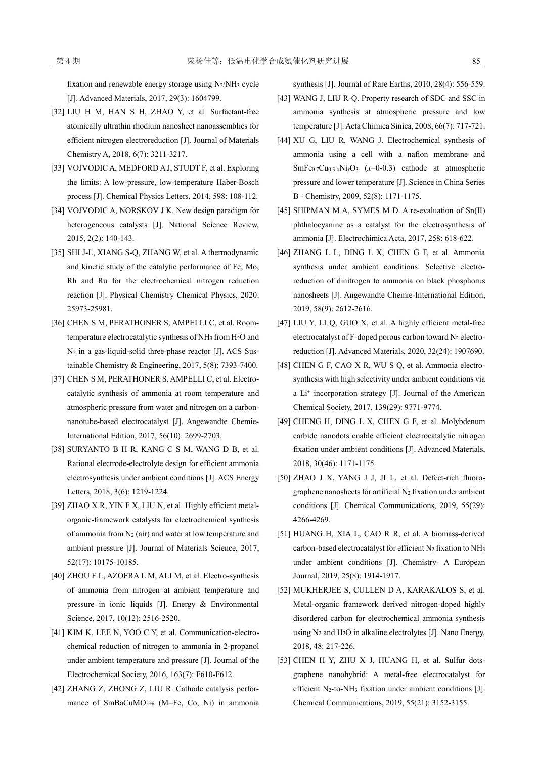fixation and renewable energy storage using N<sub>2</sub>/NH<sub>3</sub> cycle [J]. Advanced Materials, 2017, 29(3): 1604799.

- [32] LIU H M, HAN S H, ZHAO Y, et al. Surfactant-free atomically ultrathin rhodium nanosheet nanoassemblies for efficient nitrogen electroreduction [J]. Journal of Materials Chemistry A, 2018, 6(7): 3211-3217.
- [33] VOJVODIC A, MEDFORD A J, STUDT F, et al. Exploring the limits: A low-pressure, low-temperature Haber-Bosch process [J]. Chemical Physics Letters, 2014, 598: 108-112.
- [34] VOJVODIC A, NORSKOV J K. New design paradigm for heterogeneous catalysts [J]. National Science Review, 2015, 2(2): 140-143.
- [35] SHI J-L, XIANG S-O, ZHANG W, et al. A thermodynamic and kinetic study of the catalytic performance of Fe, Mo, Rh and Ru for the electrochemical nitrogen reduction reaction [J]. Physical Chemistry Chemical Physics, 2020: 25973-25981.
- [36] CHEN S M, PERATHONER S, AMPELLI C, et al. Roomtemperature electrocatalytic synthesis of NH3 from H2O and N2 in a gas-liquid-solid three-phase reactor [J]. ACS Sustainable Chemistry & Engineering, 2017, 5(8): 7393-7400.
- [37] CHEN S M, PERATHONER S, AMPELLI C, et al. Electrocatalytic synthesis of ammonia at room temperature and atmospheric pressure from water and nitrogen on a carbonnanotube-based electrocatalyst [J]. Angewandte Chemie-International Edition, 2017, 56(10): 2699-2703.
- [38] SURYANTO B H R, KANG C S M, WANG D B, et al. Rational electrode-electrolyte design for efficient ammonia electrosynthesis under ambient conditions [J]. ACS Energy Letters, 2018, 3(6): 1219-1224.
- [39] ZHAO X R, YIN F X, LIU N, et al. Highly efficient metalorganic-framework catalysts for electrochemical synthesis of ammonia from N2 (air) and water at low temperature and ambient pressure [J]. Journal of Materials Science, 2017, 52(17): 10175-10185.
- [40] ZHOU F L, AZOFRA L M, ALI M, et al. Electro-synthesis of ammonia from nitrogen at ambient temperature and pressure in ionic liquids [J]. Energy & Environmental Science, 2017, 10(12): 2516-2520.
- [41] KIM K, LEE N, YOO C Y, et al. Communication-electrochemical reduction of nitrogen to ammonia in 2-propanol under ambient temperature and pressure [J]. Journal of the Electrochemical Society, 2016, 163(7): F610-F612.
- [42] ZHANG Z, ZHONG Z, LIU R. Cathode catalysis performance of SmBaCuMO5+δ (M=Fe, Co, Ni) in ammonia

synthesis [J]. Journal of Rare Earths, 2010, 28(4): 556-559.

- [43] WANG J, LIU R-Q. Property research of SDC and SSC in ammonia synthesis at atmospheric pressure and low temperature [J]. Acta Chimica Sinica, 2008, 66(7): 717-721.
- [44] XU G, LIU R, WANG J. Electrochemical synthesis of ammonia using a cell with a nafion membrane and SmFe0.7Cu0.3-*<sup>x</sup>*Ni*x*O3 (*x*=0-0.3) cathode at atmospheric pressure and lower temperature [J]. Science in China Series B - Chemistry, 2009, 52(8): 1171-1175.
- [45] SHIPMAN M A, SYMES M D. A re-evaluation of Sn(II) phthalocyanine as a catalyst for the electrosynthesis of ammonia [J]. Electrochimica Acta, 2017, 258: 618-622.
- [46] ZHANG L L, DING L X, CHEN G F, et al. Ammonia synthesis under ambient conditions: Selective electroreduction of dinitrogen to ammonia on black phosphorus nanosheets [J]. Angewandte Chemie-International Edition, 2019, 58(9): 2612-2616.
- [47] LIU Y, LI Q, GUO X, et al. A highly efficient metal-free electrocatalyst of F-doped porous carbon toward N<sub>2</sub> electroreduction [J]. Advanced Materials, 2020, 32(24): 1907690.
- [48] CHEN G F, CAO X R, WU S Q, et al. Ammonia electrosynthesis with high selectivity under ambient conditions via a Li<sup>+</sup> incorporation strategy [J]. Journal of the American Chemical Society, 2017, 139(29): 9771-9774.
- [49] CHENG H, DING L X, CHEN G F, et al. Molybdenum carbide nanodots enable efficient electrocatalytic nitrogen fixation under ambient conditions [J]. Advanced Materials, 2018, 30(46): 1171-1175.
- [50] ZHAO J X, YANG J J, JI L, et al. Defect-rich fluorographene nanosheets for artificial N2 fixation under ambient conditions [J]. Chemical Communications, 2019, 55(29): 4266-4269.
- [51] HUANG H, XIA L, CAO R R, et al. A biomass-derived carbon-based electrocatalyst for efficient  $N_2$  fixation to  $NH<sub>3</sub>$ under ambient conditions [J]. Chemistry- A European Journal, 2019, 25(8): 1914-1917.
- [52] MUKHERJEE S, CULLEN D A, KARAKALOS S, et al. Metal-organic framework derived nitrogen-doped highly disordered carbon for electrochemical ammonia synthesis using  $N_2$  and  $H_2O$  in alkaline electrolytes [J]. Nano Energy, 2018, 48: 217-226.
- [53] CHEN H Y, ZHU X J, HUANG H, et al. Sulfur dotsgraphene nanohybrid: A metal-free electrocatalyst for efficient N2-to-NH3 fixation under ambient conditions [J]. Chemical Communications, 2019, 55(21): 3152-3155.